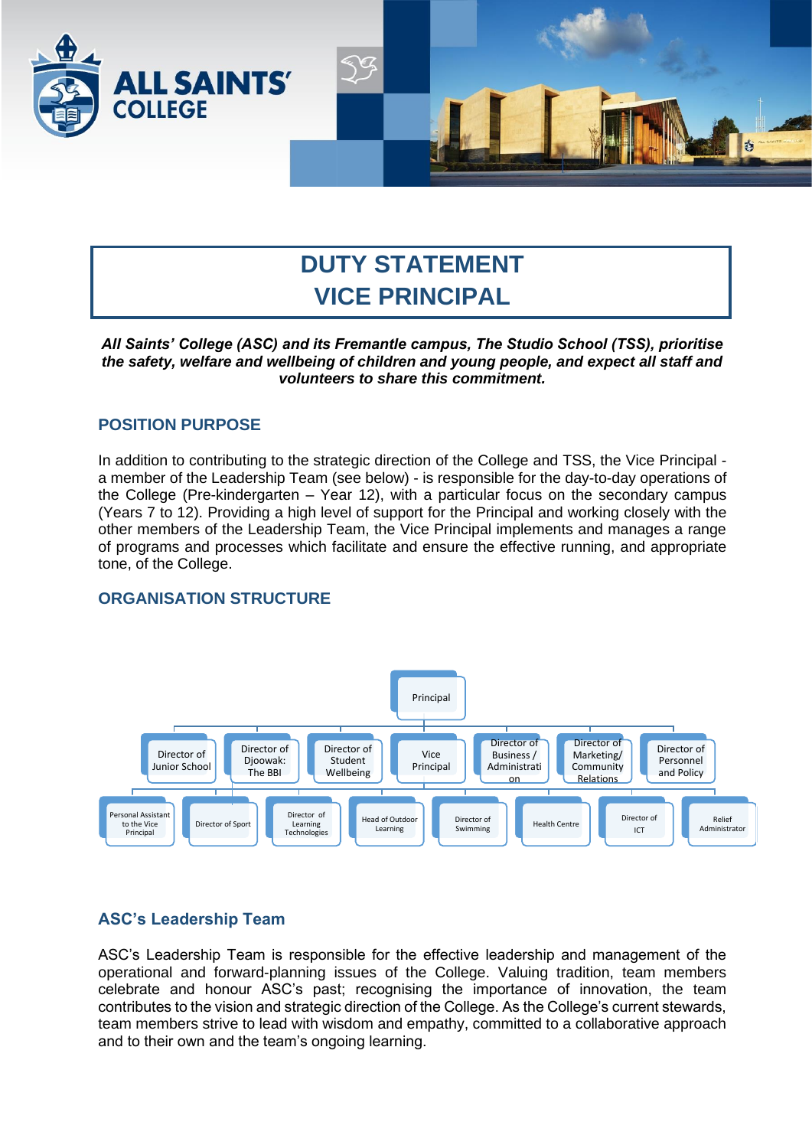

# **DUTY STATEMENT VICE PRINCIPAL**

*All Saints' College (ASC) and its Fremantle campus, The Studio School (TSS), prioritise the safety, welfare and wellbeing of children and young people, and expect all staff and volunteers to share this commitment.*

## **POSITION PURPOSE**

In addition to contributing to the strategic direction of the College and TSS, the Vice Principal a member of the Leadership Team (see below) - is responsible for the day-to-day operations of the College (Pre-kindergarten – Year 12), with a particular focus on the secondary campus (Years 7 to 12). Providing a high level of support for the Principal and working closely with the other members of the Leadership Team, the Vice Principal implements and manages a range of programs and processes which facilitate and ensure the effective running, and appropriate tone, of the College.

## **ORGANISATION STRUCTURE**



## **ASC's Leadership Team**

ASC's Leadership Team is responsible for the effective leadership and management of the operational and forward-planning issues of the College. Valuing tradition, team members celebrate and honour ASC's past; recognising the importance of innovation, the team contributes to the vision and strategic direction of the College. As the College's current stewards, team members strive to lead with wisdom and empathy, committed to a collaborative approach and to their own and the team's ongoing learning.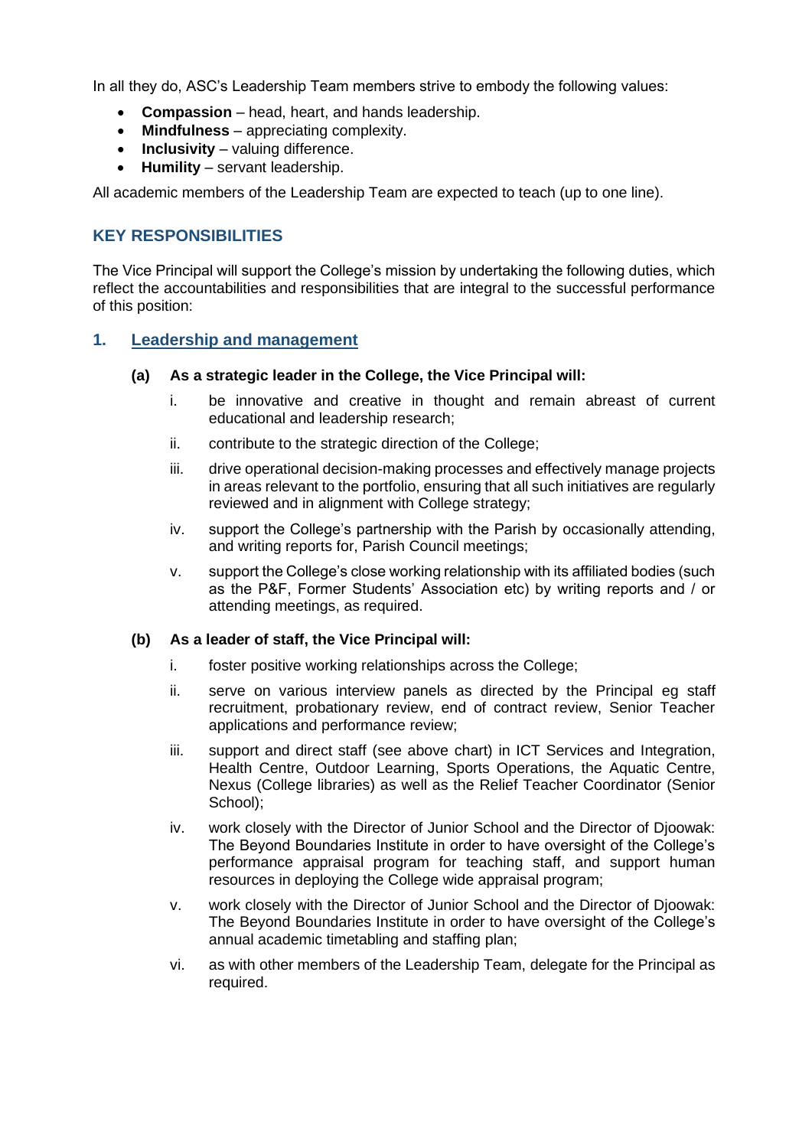In all they do, ASC's Leadership Team members strive to embody the following values:

- **Compassion**  head, heart, and hands leadership.
- **Mindfulness** appreciating complexity.
- **Inclusivity** valuing difference.
- **Humility**  servant leadership.

All academic members of the Leadership Team are expected to teach (up to one line).

## **KEY RESPONSIBILITIES**

The Vice Principal will support the College's mission by undertaking the following duties, which reflect the accountabilities and responsibilities that are integral to the successful performance of this position:

#### **1. Leadership and management**

#### **(a) As a strategic leader in the College, the Vice Principal will:**

- i. be innovative and creative in thought and remain abreast of current educational and leadership research;
- ii. contribute to the strategic direction of the College;
- iii. drive operational decision-making processes and effectively manage projects in areas relevant to the portfolio, ensuring that all such initiatives are regularly reviewed and in alignment with College strategy;
- iv. support the College's partnership with the Parish by occasionally attending, and writing reports for, Parish Council meetings;
- v. support the College's close working relationship with its affiliated bodies (such as the P&F, Former Students' Association etc) by writing reports and / or attending meetings, as required.

#### **(b) As a leader of staff, the Vice Principal will:**

- i. foster positive working relationships across the College;
- ii. serve on various interview panels as directed by the Principal eg staff recruitment, probationary review, end of contract review, Senior Teacher applications and performance review;
- iii. support and direct staff (see above chart) in ICT Services and Integration, Health Centre, Outdoor Learning, Sports Operations, the Aquatic Centre, Nexus (College libraries) as well as the Relief Teacher Coordinator (Senior School);
- iv. work closely with the Director of Junior School and the Director of Djoowak: The Beyond Boundaries Institute in order to have oversight of the College's performance appraisal program for teaching staff, and support human resources in deploying the College wide appraisal program;
- v. work closely with the Director of Junior School and the Director of Djoowak: The Beyond Boundaries Institute in order to have oversight of the College's annual academic timetabling and staffing plan;
- vi. as with other members of the Leadership Team, delegate for the Principal as required.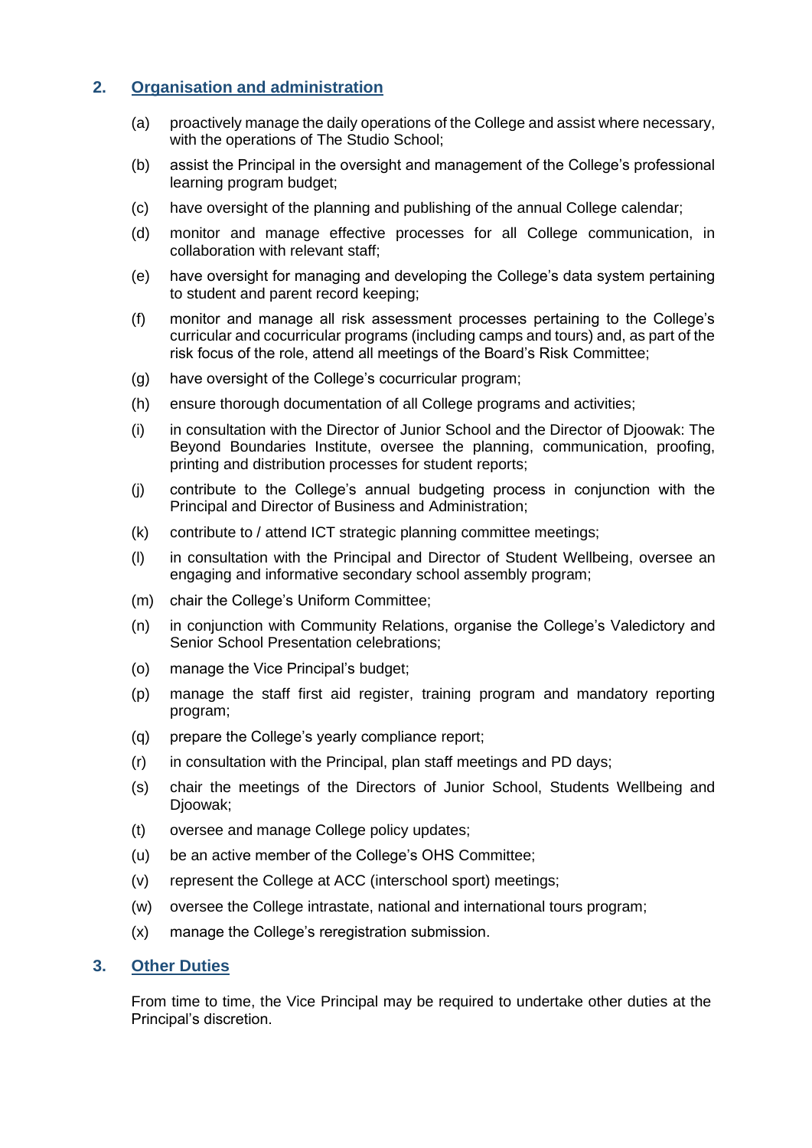## **2. Organisation and administration**

- (a) proactively manage the daily operations of the College and assist where necessary, with the operations of The Studio School;
- (b) assist the Principal in the oversight and management of the College's professional learning program budget;
- (c) have oversight of the planning and publishing of the annual College calendar;
- (d) monitor and manage effective processes for all College communication, in collaboration with relevant staff;
- (e) have oversight for managing and developing the College's data system pertaining to student and parent record keeping;
- (f) monitor and manage all risk assessment processes pertaining to the College's curricular and cocurricular programs (including camps and tours) and, as part of the risk focus of the role, attend all meetings of the Board's Risk Committee;
- (g) have oversight of the College's cocurricular program;
- (h) ensure thorough documentation of all College programs and activities;
- (i) in consultation with the Director of Junior School and the Director of Djoowak: The Beyond Boundaries Institute, oversee the planning, communication, proofing, printing and distribution processes for student reports;
- (j) contribute to the College's annual budgeting process in conjunction with the Principal and Director of Business and Administration;
- (k) contribute to / attend ICT strategic planning committee meetings;
- (l) in consultation with the Principal and Director of Student Wellbeing, oversee an engaging and informative secondary school assembly program;
- (m) chair the College's Uniform Committee;
- (n) in conjunction with Community Relations, organise the College's Valedictory and Senior School Presentation celebrations;
- (o) manage the Vice Principal's budget;
- (p) manage the staff first aid register, training program and mandatory reporting program;
- (q) prepare the College's yearly compliance report;
- (r) in consultation with the Principal, plan staff meetings and PD days;
- (s) chair the meetings of the Directors of Junior School, Students Wellbeing and Djoowak;
- (t) oversee and manage College policy updates;
- (u) be an active member of the College's OHS Committee;
- (v) represent the College at ACC (interschool sport) meetings;
- (w) oversee the College intrastate, national and international tours program;
- (x) manage the College's reregistration submission.

#### **3. Other Duties**

From time to time, the Vice Principal may be required to undertake other duties at the Principal's discretion.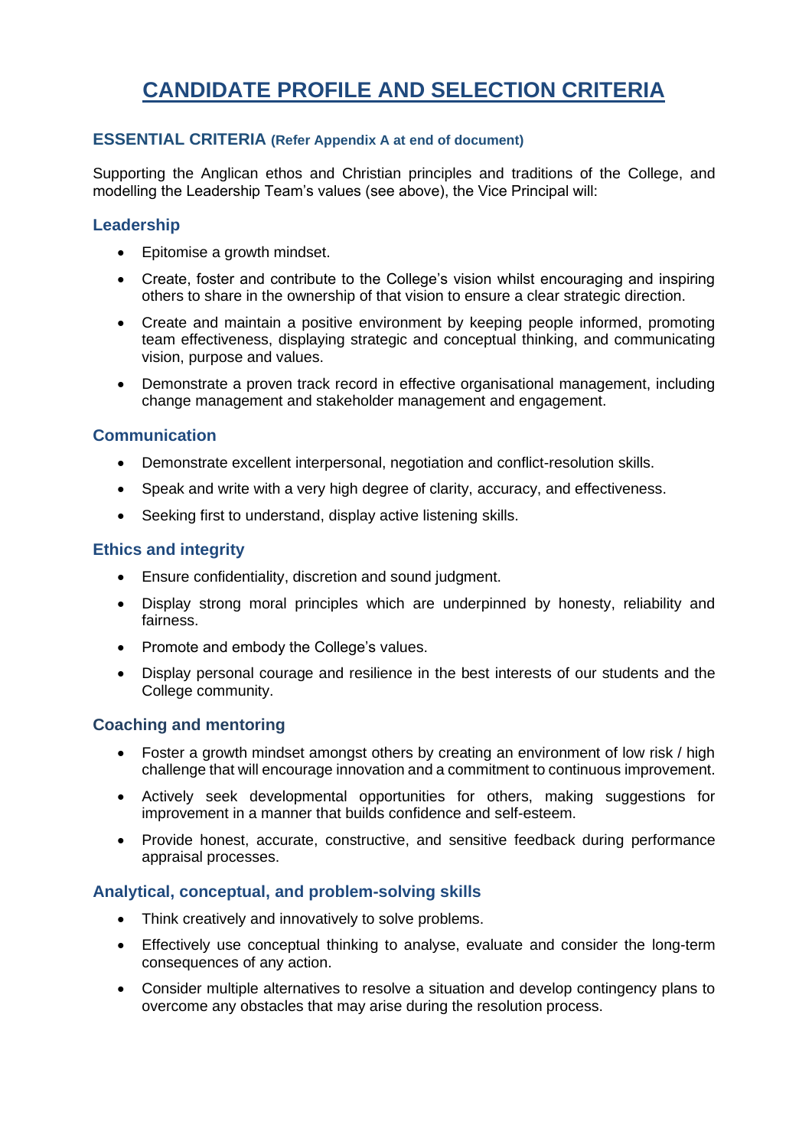## **CANDIDATE PROFILE AND SELECTION CRITERIA**

#### **ESSENTIAL CRITERIA (Refer Appendix A at end of document)**

Supporting the Anglican ethos and Christian principles and traditions of the College, and modelling the Leadership Team's values (see above), the Vice Principal will:

## **Leadership**

- Epitomise a growth mindset.
- Create, foster and contribute to the College's vision whilst encouraging and inspiring others to share in the ownership of that vision to ensure a clear strategic direction.
- Create and maintain a positive environment by keeping people informed, promoting team effectiveness, displaying strategic and conceptual thinking, and communicating vision, purpose and values.
- Demonstrate a proven track record in effective organisational management, including change management and stakeholder management and engagement.

## **Communication**

- Demonstrate excellent interpersonal, negotiation and conflict-resolution skills.
- Speak and write with a very high degree of clarity, accuracy, and effectiveness.
- Seeking first to understand, display active listening skills.

#### **Ethics and integrity**

- Ensure confidentiality, discretion and sound judgment.
- Display strong moral principles which are underpinned by honesty, reliability and fairness.
- Promote and embody the College's values.
- Display personal courage and resilience in the best interests of our students and the College community.

## **Coaching and mentoring**

- Foster a growth mindset amongst others by creating an environment of low risk / high challenge that will encourage innovation and a commitment to continuous improvement.
- Actively seek developmental opportunities for others, making suggestions for improvement in a manner that builds confidence and self-esteem.
- Provide honest, accurate, constructive, and sensitive feedback during performance appraisal processes.

#### **Analytical, conceptual, and problem-solving skills**

- Think creatively and innovatively to solve problems.
- Effectively use conceptual thinking to analyse, evaluate and consider the long-term consequences of any action.
- Consider multiple alternatives to resolve a situation and develop contingency plans to overcome any obstacles that may arise during the resolution process.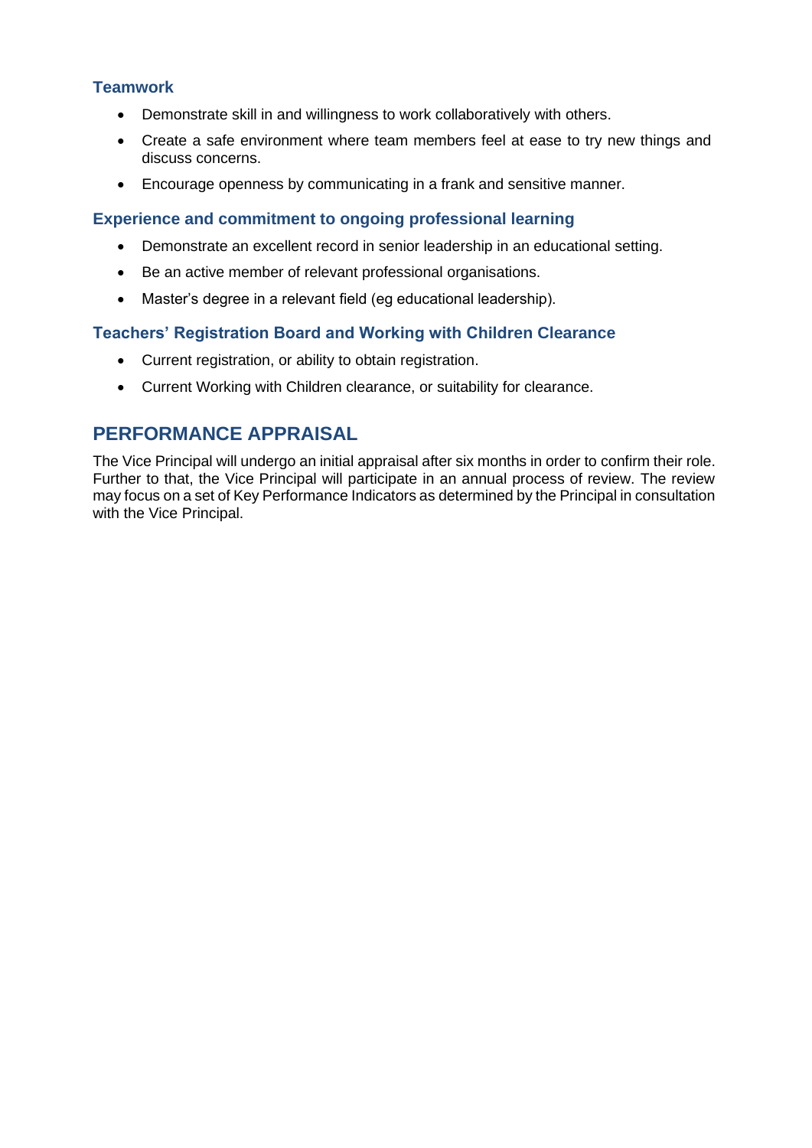## **Teamwork**

- Demonstrate skill in and willingness to work collaboratively with others.
- Create a safe environment where team members feel at ease to try new things and discuss concerns.
- Encourage openness by communicating in a frank and sensitive manner.

#### **Experience and commitment to ongoing professional learning**

- Demonstrate an excellent record in senior leadership in an educational setting.
- Be an active member of relevant professional organisations.
- Master's degree in a relevant field (eg educational leadership).

#### **Teachers' Registration Board and Working with Children Clearance**

- Current registration, or ability to obtain registration.
- Current Working with Children clearance, or suitability for clearance.

## **PERFORMANCE APPRAISAL**

The Vice Principal will undergo an initial appraisal after six months in order to confirm their role. Further to that, the Vice Principal will participate in an annual process of review. The review may focus on a set of Key Performance Indicators as determined by the Principal in consultation with the Vice Principal.